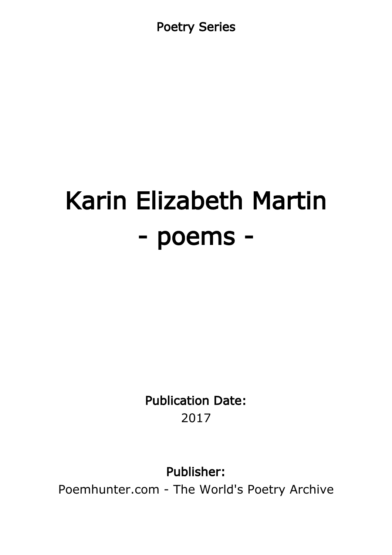Poetry Series

# Karin Elizabeth Martin - poems -

Publication Date: 2017

Publisher:

Poemhunter.com - The World's Poetry Archive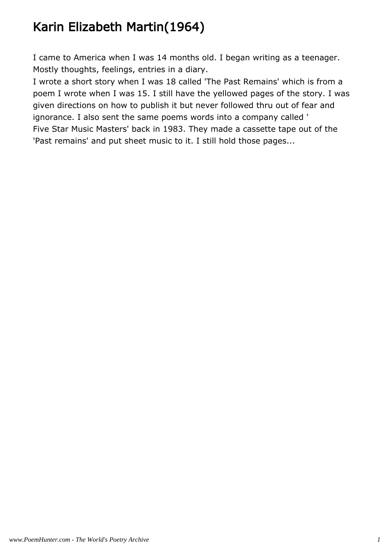# Karin Elizabeth Martin(1964)

I came to America when I was 14 months old. I began writing as a teenager. Mostly thoughts, feelings, entries in a diary.

I wrote a short story when I was 18 called 'The Past Remains' which is from a poem I wrote when I was 15. I still have the yellowed pages of the story. I was given directions on how to publish it but never followed thru out of fear and ignorance. I also sent the same poems words into a company called ' Five Star Music Masters' back in 1983. They made a cassette tape out of the 'Past remains' and put sheet music to it. I still hold those pages...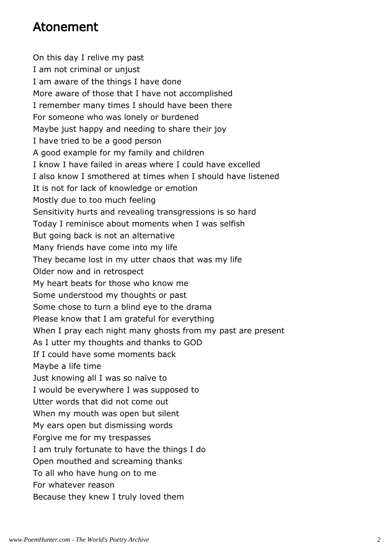#### Atonement

On this day I relive my past I am not criminal or unjust I am aware of the things I have done More aware of those that I have not accomplished I remember many times I should have been there For someone who was lonely or burdened Maybe just happy and needing to share their joy I have tried to be a good person A good example for my family and children I know I have failed in areas where I could have excelled I also know I smothered at times when I should have listened It is not for lack of knowledge or emotion Mostly due to too much feeling Sensitivity hurts and revealing transgressions is so hard Today I reminisce about moments when I was selfish But going back is not an alternative Many friends have come into my life They became lost in my utter chaos that was my life Older now and in retrospect My heart beats for those who know me Some understood my thoughts or past Some chose to turn a blind eye to the drama Please know that I am grateful for everything When I pray each night many ghosts from my past are present As I utter my thoughts and thanks to GOD If I could have some moments back Maybe a life time Just knowing all I was so naïve to I would be everywhere I was supposed to Utter words that did not come out When my mouth was open but silent My ears open but dismissing words Forgive me for my trespasses I am truly fortunate to have the things I do Open mouthed and screaming thanks To all who have hung on to me For whatever reason Because they knew I truly loved them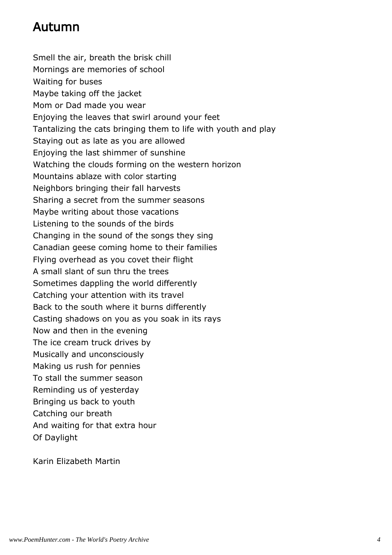## Autumn

Smell the air, breath the brisk chill Mornings are memories of school Waiting for buses Maybe taking off the jacket Mom or Dad made you wear Enjoying the leaves that swirl around your feet Tantalizing the cats bringing them to life with youth and play Staying out as late as you are allowed Enjoying the last shimmer of sunshine Watching the clouds forming on the western horizon Mountains ablaze with color starting Neighbors bringing their fall harvests Sharing a secret from the summer seasons Maybe writing about those vacations Listening to the sounds of the birds Changing in the sound of the songs they sing Canadian geese coming home to their families Flying overhead as you covet their flight A small slant of sun thru the trees Sometimes dappling the world differently Catching your attention with its travel Back to the south where it burns differently Casting shadows on you as you soak in its rays Now and then in the evening The ice cream truck drives by Musically and unconsciously Making us rush for pennies To stall the summer season Reminding us of yesterday Bringing us back to youth Catching our breath And waiting for that extra hour Of Daylight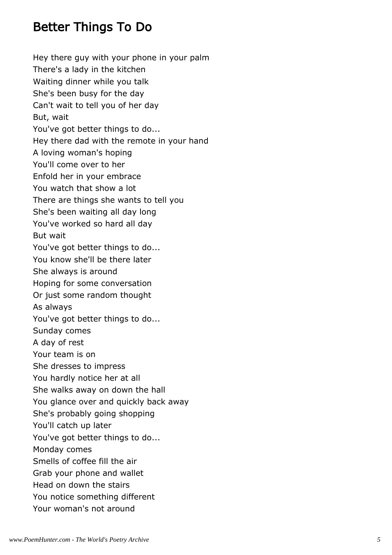## Better Things To Do

Hey there guy with your phone in your palm There's a lady in the kitchen Waiting dinner while you talk She's been busy for the day Can't wait to tell you of her day But, wait You've got better things to do... Hey there dad with the remote in your hand A loving woman's hoping You'll come over to her Enfold her in your embrace You watch that show a lot There are things she wants to tell you She's been waiting all day long You've worked so hard all day But wait You've got better things to do... You know she'll be there later She always is around Hoping for some conversation Or just some random thought As always You've got better things to do... Sunday comes A day of rest Your team is on She dresses to impress You hardly notice her at all She walks away on down the hall You glance over and quickly back away She's probably going shopping You'll catch up later You've got better things to do... Monday comes Smells of coffee fill the air Grab your phone and wallet Head on down the stairs You notice something different Your woman's not around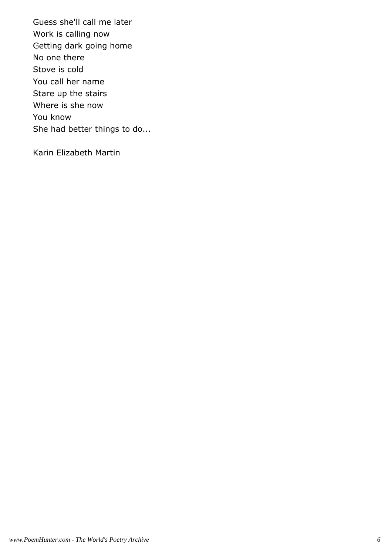Guess she'll call me later Work is calling now Getting dark going home No one there Stove is cold You call her name Stare up the stairs Where is she now You know She had better things to do...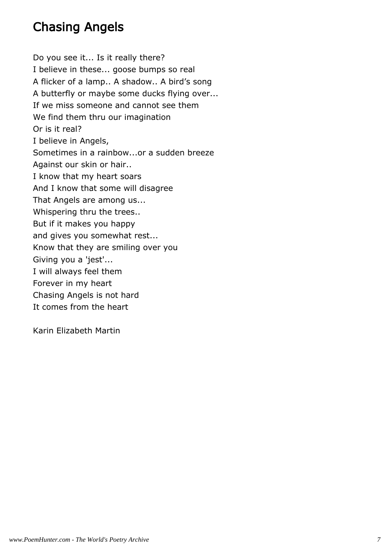## Chasing Angels

Do you see it... Is it really there? I believe in these... goose bumps so real A flicker of a lamp.. A shadow.. A bird's song A butterfly or maybe some ducks flying over... If we miss someone and cannot see them We find them thru our imagination Or is it real? I believe in Angels, Sometimes in a rainbow...or a sudden breeze Against our skin or hair.. I know that my heart soars And I know that some will disagree That Angels are among us... Whispering thru the trees.. But if it makes you happy and gives you somewhat rest... Know that they are smiling over you Giving you a 'jest'... I will always feel them Forever in my heart Chasing Angels is not hard It comes from the heart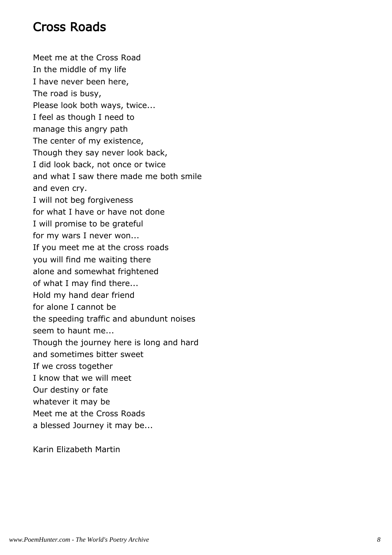## Cross Roads

Meet me at the Cross Road In the middle of my life I have never been here, The road is busy, Please look both ways, twice... I feel as though I need to manage this angry path The center of my existence, Though they say never look back, I did look back, not once or twice and what I saw there made me both smile and even cry. I will not beg forgiveness for what I have or have not done I will promise to be grateful for my wars I never won... If you meet me at the cross roads you will find me waiting there alone and somewhat frightened of what I may find there... Hold my hand dear friend for alone I cannot be the speeding traffic and abundunt noises seem to haunt me... Though the journey here is long and hard and sometimes bitter sweet If we cross together I know that we will meet Our destiny or fate whatever it may be Meet me at the Cross Roads a blessed Journey it may be...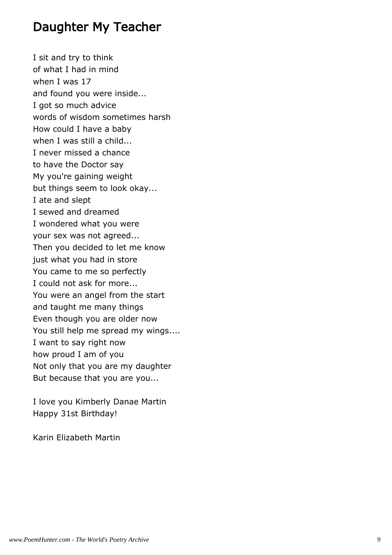#### Daughter My Teacher

I sit and try to think of what I had in mind when I was 17 and found you were inside... I got so much advice words of wisdom sometimes harsh How could I have a baby when I was still a child... I never missed a chance to have the Doctor say My you're gaining weight but things seem to look okay... I ate and slept I sewed and dreamed I wondered what you were your sex was not agreed... Then you decided to let me know just what you had in store You came to me so perfectly I could not ask for more... You were an angel from the start and taught me many things Even though you are older now You still help me spread my wings.... I want to say right now how proud I am of you Not only that you are my daughter But because that you are you...

I love you Kimberly Danae Martin Happy 31st Birthday!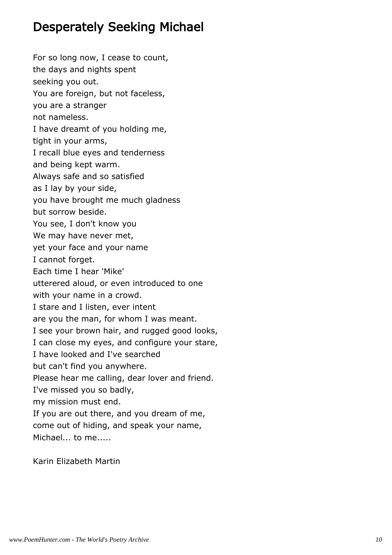## Desperately Seeking Michael

For so long now, I cease to count, the days and nights spent seeking you out. You are foreign, but not faceless, you are a stranger not nameless. I have dreamt of you holding me, tight in your arms, I recall blue eyes and tenderness and being kept warm. Always safe and so satisfied as I lay by your side, you have brought me much gladness but sorrow beside. You see, I don't know you We may have never met, yet your face and your name I cannot forget. Each time I hear 'Mike' utterered aloud, or even introduced to one with your name in a crowd. I stare and I listen, ever intent are you the man, for whom I was meant. I see your brown hair, and rugged good looks, I can close my eyes, and configure your stare, I have looked and I've searched but can't find you anywhere. Please hear me calling, dear lover and friend. I've missed you so badly, my mission must end. If you are out there, and you dream of me, come out of hiding, and speak your name, Michael... to me.....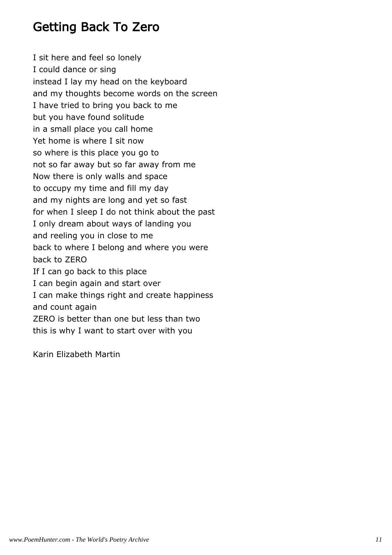### Getting Back To Zero

I sit here and feel so lonely I could dance or sing instead I lay my head on the keyboard and my thoughts become words on the screen I have tried to bring you back to me but you have found solitude in a small place you call home Yet home is where I sit now so where is this place you go to not so far away but so far away from me Now there is only walls and space to occupy my time and fill my day and my nights are long and yet so fast for when I sleep I do not think about the past I only dream about ways of landing you and reeling you in close to me back to where I belong and where you were back to ZERO If I can go back to this place I can begin again and start over I can make things right and create happiness and count again ZERO is better than one but less than two this is why I want to start over with you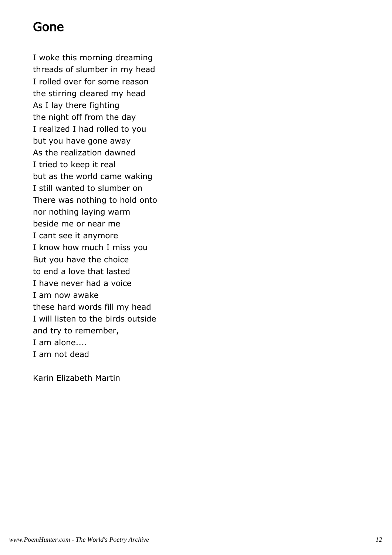#### Gone

I woke this morning dreaming threads of slumber in my head I rolled over for some reason the stirring cleared my head As I lay there fighting the night off from the day I realized I had rolled to you but you have gone away As the realization dawned I tried to keep it real but as the world came waking I still wanted to slumber on There was nothing to hold onto nor nothing laying warm beside me or near me I cant see it anymore I know how much I miss you But you have the choice to end a love that lasted I have never had a voice I am now awake these hard words fill my head I will listen to the birds outside and try to remember, I am alone.... I am not dead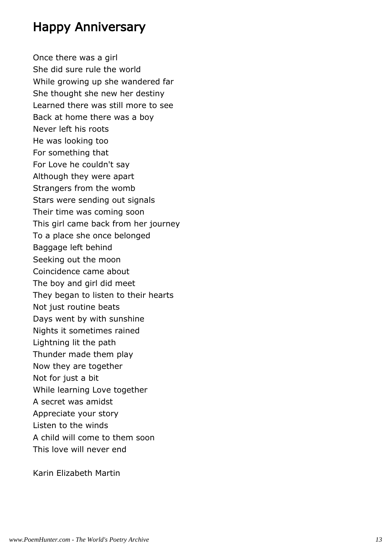## Happy Anniversary

Once there was a girl She did sure rule the world While growing up she wandered far She thought she new her destiny Learned there was still more to see Back at home there was a boy Never left his roots He was looking too For something that For Love he couldn't say Although they were apart Strangers from the womb Stars were sending out signals Their time was coming soon This girl came back from her journey To a place she once belonged Baggage left behind Seeking out the moon Coincidence came about The boy and girl did meet They began to listen to their hearts Not just routine beats Days went by with sunshine Nights it sometimes rained Lightning lit the path Thunder made them play Now they are together Not for just a bit While learning Love together A secret was amidst Appreciate your story Listen to the winds A child will come to them soon This love will never end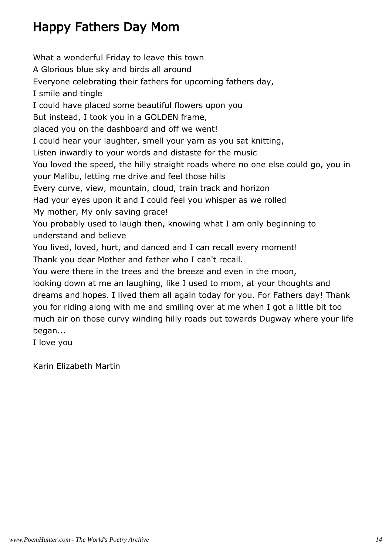## Happy Fathers Day Mom

What a wonderful Friday to leave this town A Glorious blue sky and birds all around Everyone celebrating their fathers for upcoming fathers day, I smile and tingle I could have placed some beautiful flowers upon you But instead, I took you in a GOLDEN frame, placed you on the dashboard and off we went! I could hear your laughter, smell your yarn as you sat knitting, Listen inwardly to your words and distaste for the music You loved the speed, the hilly straight roads where no one else could go, you in your Malibu, letting me drive and feel those hills Every curve, view, mountain, cloud, train track and horizon Had your eyes upon it and I could feel you whisper as we rolled My mother, My only saving grace! You probably used to laugh then, knowing what I am only beginning to understand and believe You lived, loved, hurt, and danced and I can recall every moment! Thank you dear Mother and father who I can't recall. You were there in the trees and the breeze and even in the moon, looking down at me an laughing, like I used to mom, at your thoughts and dreams and hopes. I lived them all again today for you. For Fathers day! Thank you for riding along with me and smiling over at me when I got a little bit too much air on those curvy winding hilly roads out towards Dugway where your life began... I love you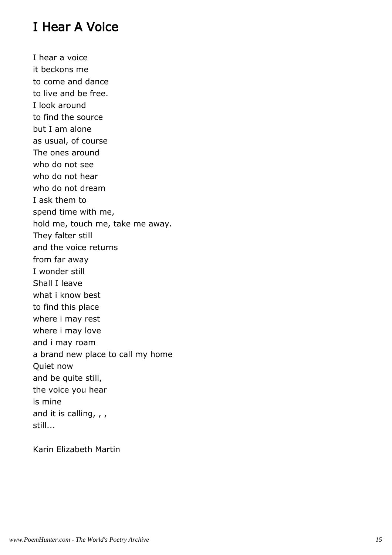## I Hear A Voice

I hear a voice it beckons me to come and dance to live and be free. I look around to find the source but I am alone as usual, of course The ones around who do not see who do not hear who do not dream I ask them to spend time with me, hold me, touch me, take me away. They falter still and the voice returns from far away I wonder still Shall I leave what i know best to find this place where i may rest where i may love and i may roam a brand new place to call my home Quiet now and be quite still, the voice you hear is mine and it is calling, , , still...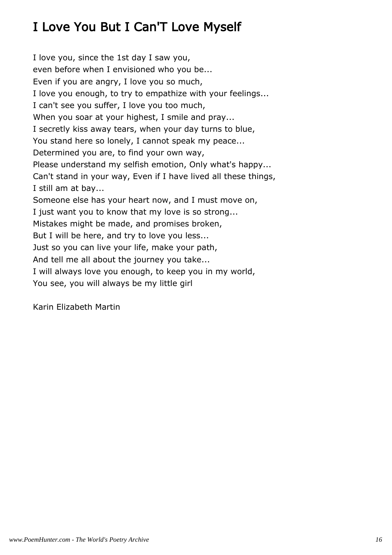# I Love You But I Can'T Love Myself

I love you, since the 1st day I saw you, even before when I envisioned who you be... Even if you are angry, I love you so much, I love you enough, to try to empathize with your feelings... I can't see you suffer, I love you too much, When you soar at your highest, I smile and pray... I secretly kiss away tears, when your day turns to blue, You stand here so lonely, I cannot speak my peace... Determined you are, to find your own way, Please understand my selfish emotion, Only what's happy... Can't stand in your way, Even if I have lived all these things, I still am at bay... Someone else has your heart now, and I must move on, I just want you to know that my love is so strong... Mistakes might be made, and promises broken, But I will be here, and try to love you less... Just so you can live your life, make your path, And tell me all about the journey you take... I will always love you enough, to keep you in my world, You see, you will always be my little girl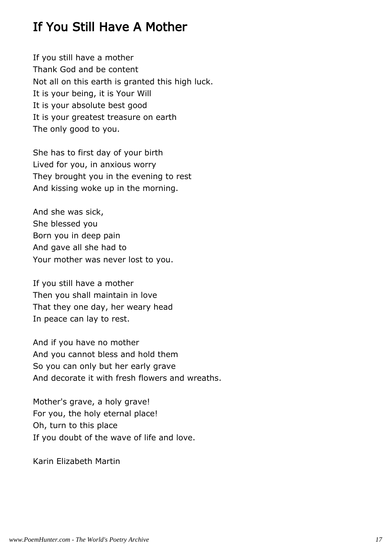## If You Still Have A Mother

If you still have a mother Thank God and be content Not all on this earth is granted this high luck. It is your being, it is Your Will It is your absolute best good It is your greatest treasure on earth The only good to you.

She has to first day of your birth Lived for you, in anxious worry They brought you in the evening to rest And kissing woke up in the morning.

And she was sick, She blessed you Born you in deep pain And gave all she had to Your mother was never lost to you.

If you still have a mother Then you shall maintain in love That they one day, her weary head In peace can lay to rest.

And if you have no mother And you cannot bless and hold them So you can only but her early grave And decorate it with fresh flowers and wreaths.

Mother's grave, a holy grave! For you, the holy eternal place! Oh, turn to this place If you doubt of the wave of life and love.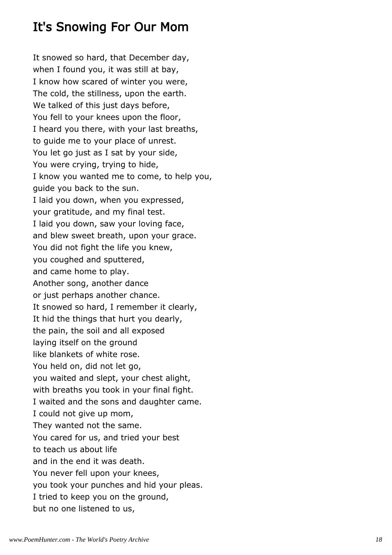## It's Snowing For Our Mom

It snowed so hard, that December day, when I found you, it was still at bay, I know how scared of winter you were, The cold, the stillness, upon the earth. We talked of this just days before, You fell to your knees upon the floor, I heard you there, with your last breaths, to guide me to your place of unrest. You let go just as I sat by your side, You were crying, trying to hide, I know you wanted me to come, to help you, guide you back to the sun. I laid you down, when you expressed, your gratitude, and my final test. I laid you down, saw your loving face, and blew sweet breath, upon your grace. You did not fight the life you knew, you coughed and sputtered, and came home to play. Another song, another dance or just perhaps another chance. It snowed so hard, I remember it clearly, It hid the things that hurt you dearly, the pain, the soil and all exposed laying itself on the ground like blankets of white rose. You held on, did not let go, you waited and slept, your chest alight, with breaths you took in your final fight. I waited and the sons and daughter came. I could not give up mom, They wanted not the same. You cared for us, and tried your best to teach us about life and in the end it was death. You never fell upon your knees, you took your punches and hid your pleas. I tried to keep you on the ground, but no one listened to us,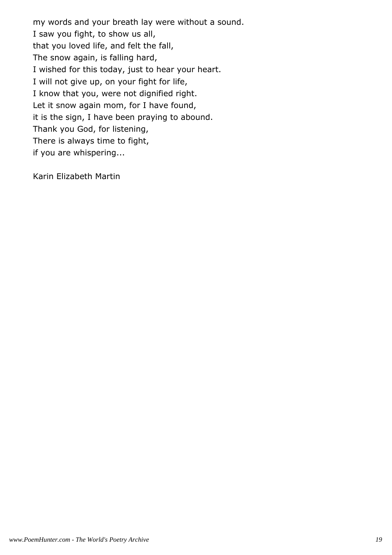my words and your breath lay were without a sound. I saw you fight, to show us all, that you loved life, and felt the fall, The snow again, is falling hard, I wished for this today, just to hear your heart. I will not give up, on your fight for life, I know that you, were not dignified right. Let it snow again mom, for I have found, it is the sign, I have been praying to abound. Thank you God, for listening, There is always time to fight, if you are whispering...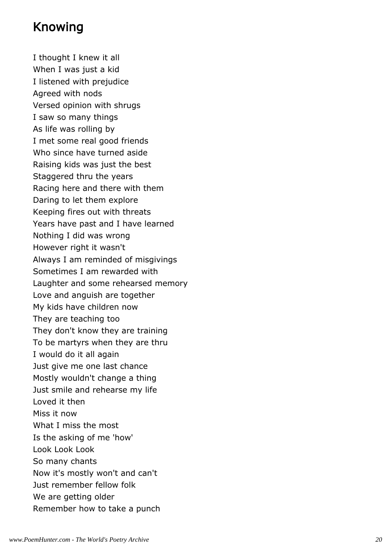## Knowing

I thought I knew it all When I was just a kid I listened with prejudice Agreed with nods Versed opinion with shrugs I saw so many things As life was rolling by I met some real good friends Who since have turned aside Raising kids was just the best Staggered thru the years Racing here and there with them Daring to let them explore Keeping fires out with threats Years have past and I have learned Nothing I did was wrong However right it wasn't Always I am reminded of misgivings Sometimes I am rewarded with Laughter and some rehearsed memory Love and anguish are together My kids have children now They are teaching too They don't know they are training To be martyrs when they are thru I would do it all again Just give me one last chance Mostly wouldn't change a thing Just smile and rehearse my life Loved it then Miss it now What I miss the most Is the asking of me 'how' Look Look Look So many chants Now it's mostly won't and can't Just remember fellow folk We are getting older Remember how to take a punch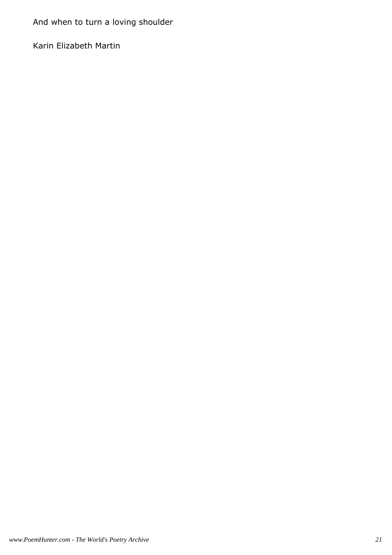And when to turn a loving shoulder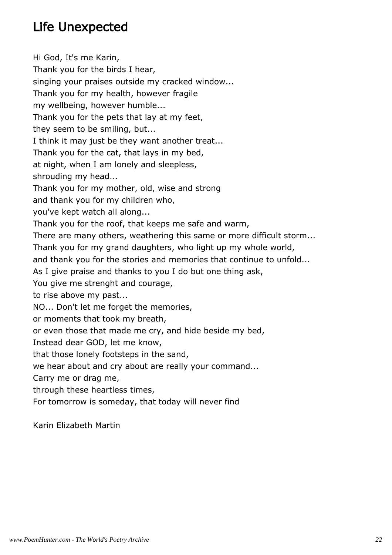## Life Unexpected

Hi God, It's me Karin, Thank you for the birds I hear, singing your praises outside my cracked window... Thank you for my health, however fragile my wellbeing, however humble... Thank you for the pets that lay at my feet, they seem to be smiling, but... I think it may just be they want another treat... Thank you for the cat, that lays in my bed, at night, when I am lonely and sleepless, shrouding my head... Thank you for my mother, old, wise and strong and thank you for my children who, you've kept watch all along... Thank you for the roof, that keeps me safe and warm, There are many others, weathering this same or more difficult storm... Thank you for my grand daughters, who light up my whole world, and thank you for the stories and memories that continue to unfold... As I give praise and thanks to you I do but one thing ask, You give me strenght and courage, to rise above my past... NO... Don't let me forget the memories, or moments that took my breath, or even those that made me cry, and hide beside my bed, Instead dear GOD, let me know, that those lonely footsteps in the sand, we hear about and cry about are really your command... Carry me or drag me, through these heartless times, For tomorrow is someday, that today will never find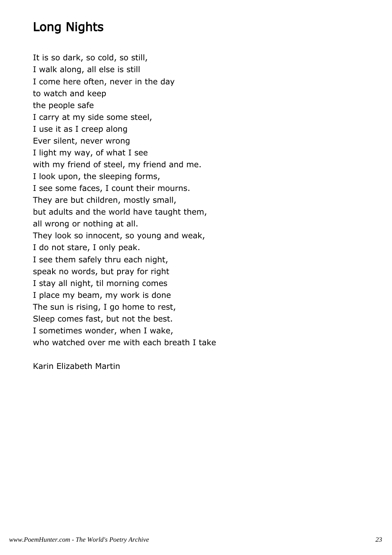## Long Nights

It is so dark, so cold, so still, I walk along, all else is still I come here often, never in the day to watch and keep the people safe I carry at my side some steel, I use it as I creep along Ever silent, never wrong I light my way, of what I see with my friend of steel, my friend and me. I look upon, the sleeping forms, I see some faces, I count their mourns. They are but children, mostly small, but adults and the world have taught them, all wrong or nothing at all. They look so innocent, so young and weak, I do not stare, I only peak. I see them safely thru each night, speak no words, but pray for right I stay all night, til morning comes I place my beam, my work is done The sun is rising, I go home to rest, Sleep comes fast, but not the best. I sometimes wonder, when I wake, who watched over me with each breath I take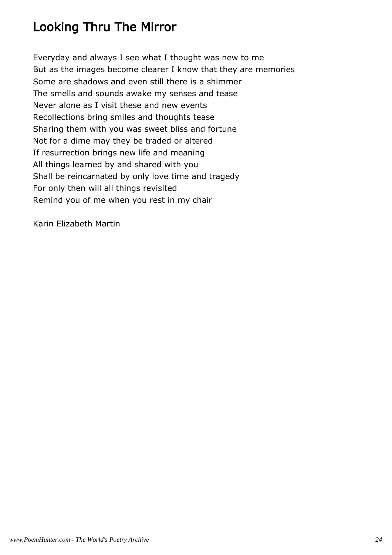## Looking Thru The Mirror

Everyday and always I see what I thought was new to me But as the images become clearer I know that they are memories Some are shadows and even still there is a shimmer The smells and sounds awake my senses and tease Never alone as I visit these and new events Recollections bring smiles and thoughts tease Sharing them with you was sweet bliss and fortune Not for a dime may they be traded or altered If resurrection brings new life and meaning All things learned by and shared with you Shall be reincarnated by only love time and tragedy For only then will all things revisited Remind you of me when you rest in my chair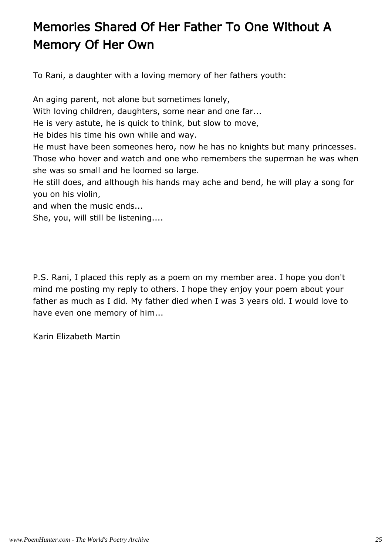# Memories Shared Of Her Father To One Without A Memory Of Her Own

To Rani, a daughter with a loving memory of her fathers youth:

An aging parent, not alone but sometimes lonely, With loving children, daughters, some near and one far... He is very astute, he is quick to think, but slow to move, He bides his time his own while and way. He must have been someones hero, now he has no knights but many princesses. Those who hover and watch and one who remembers the superman he was when she was so small and he loomed so large. He still does, and although his hands may ache and bend, he will play a song for you on his violin,

and when the music ends...

She, you, will still be listening....

P.S. Rani, I placed this reply as a poem on my member area. I hope you don't mind me posting my reply to others. I hope they enjoy your poem about your father as much as I did. My father died when I was 3 years old. I would love to have even one memory of him...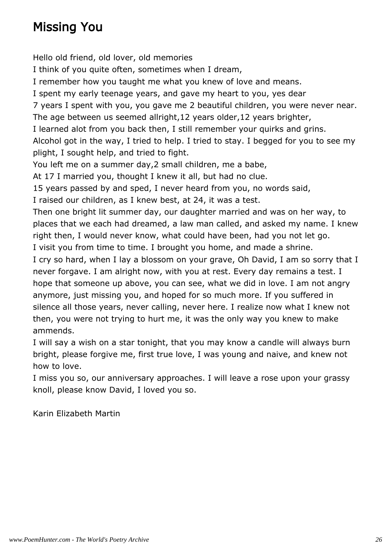## Missing You

Hello old friend, old lover, old memories I think of you quite often, sometimes when I dream, I remember how you taught me what you knew of love and means. I spent my early teenage years, and gave my heart to you, yes dear 7 years I spent with you, you gave me 2 beautiful children, you were never near. The age between us seemed allright,12 years older,12 years brighter, I learned alot from you back then, I still remember your quirks and grins. Alcohol got in the way, I tried to help. I tried to stay. I begged for you to see my plight, I sought help, and tried to fight. You left me on a summer day,2 small children, me a babe, At 17 I married you, thought I knew it all, but had no clue. 15 years passed by and sped, I never heard from you, no words said, I raised our children, as I knew best, at 24, it was a test. Then one bright lit summer day, our daughter married and was on her way, to places that we each had dreamed, a law man called, and asked my name. I knew right then, I would never know, what could have been, had you not let go. I visit you from time to time. I brought you home, and made a shrine. I cry so hard, when I lay a blossom on your grave, Oh David, I am so sorry that I never forgave. I am alright now, with you at rest. Every day remains a test. I hope that someone up above, you can see, what we did in love. I am not angry anymore, just missing you, and hoped for so much more. If you suffered in silence all those years, never calling, never here. I realize now what I knew not then, you were not trying to hurt me, it was the only way you knew to make ammends.

I will say a wish on a star tonight, that you may know a candle will always burn bright, please forgive me, first true love, I was young and naive, and knew not how to love.

I miss you so, our anniversary approaches. I will leave a rose upon your grassy knoll, please know David, I loved you so.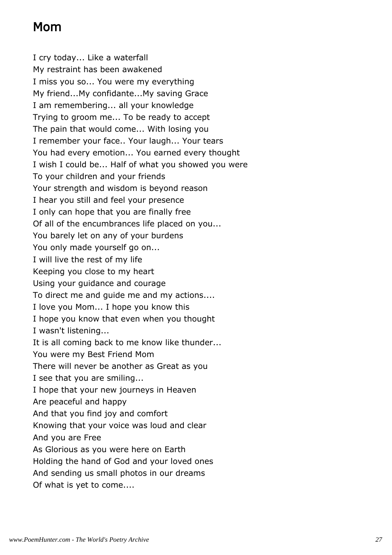## Mom

I cry today... Like a waterfall My restraint has been awakened I miss you so... You were my everything My friend...My confidante...My saving Grace I am remembering... all your knowledge Trying to groom me... To be ready to accept The pain that would come... With losing you I remember your face.. Your laugh... Your tears You had every emotion... You earned every thought I wish I could be... Half of what you showed you were To your children and your friends Your strength and wisdom is beyond reason I hear you still and feel your presence I only can hope that you are finally free Of all of the encumbrances life placed on you... You barely let on any of your burdens You only made yourself go on... I will live the rest of my life Keeping you close to my heart Using your guidance and courage To direct me and guide me and my actions.... I love you Mom... I hope you know this I hope you know that even when you thought I wasn't listening... It is all coming back to me know like thunder... You were my Best Friend Mom There will never be another as Great as you I see that you are smiling... I hope that your new journeys in Heaven Are peaceful and happy And that you find joy and comfort Knowing that your voice was loud and clear And you are Free As Glorious as you were here on Earth Holding the hand of God and your loved ones And sending us small photos in our dreams Of what is yet to come....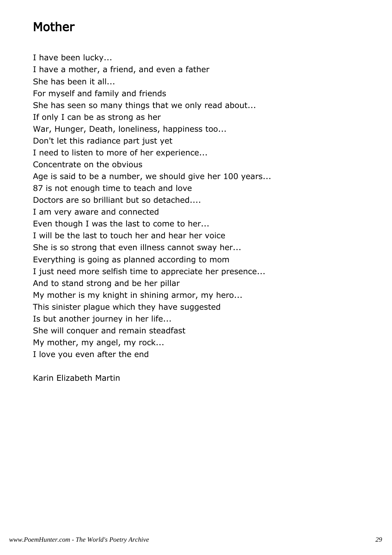## Mother

I have been lucky... I have a mother, a friend, and even a father She has been it all... For myself and family and friends She has seen so many things that we only read about... If only I can be as strong as her War, Hunger, Death, loneliness, happiness too... Don't let this radiance part just yet I need to listen to more of her experience... Concentrate on the obvious Age is said to be a number, we should give her 100 years... 87 is not enough time to teach and love Doctors are so brilliant but so detached.... I am very aware and connected Even though I was the last to come to her... I will be the last to touch her and hear her voice She is so strong that even illness cannot sway her... Everything is going as planned according to mom I just need more selfish time to appreciate her presence... And to stand strong and be her pillar My mother is my knight in shining armor, my hero... This sinister plague which they have suggested Is but another journey in her life... She will conquer and remain steadfast My mother, my angel, my rock... I love you even after the end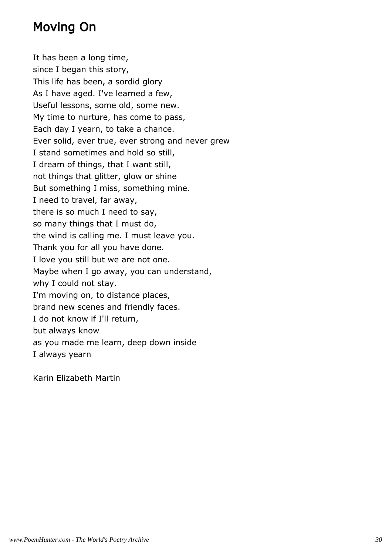## Moving On

It has been a long time, since I began this story, This life has been, a sordid glory As I have aged. I've learned a few, Useful lessons, some old, some new. My time to nurture, has come to pass, Each day I yearn, to take a chance. Ever solid, ever true, ever strong and never grew I stand sometimes and hold so still, I dream of things, that I want still, not things that glitter, glow or shine But something I miss, something mine. I need to travel, far away, there is so much I need to say, so many things that I must do, the wind is calling me. I must leave you. Thank you for all you have done. I love you still but we are not one. Maybe when I go away, you can understand, why I could not stay. I'm moving on, to distance places, brand new scenes and friendly faces. I do not know if I'll return, but always know as you made me learn, deep down inside I always yearn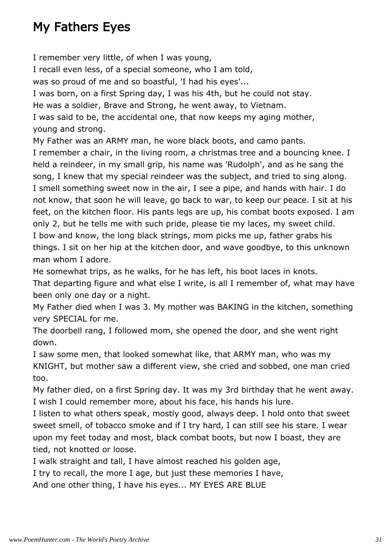## My Fathers Eyes

I remember very little, of when I was young,

I recall even less, of a special someone, who I am told,

was so proud of me and so boastful, 'I had his eyes'...

I was born, on a first Spring day, I was his 4th, but he could not stay.

He was a soldier, Brave and Strong, he went away, to Vietnam.

I was said to be, the accidental one, that now keeps my aging mother, young and strong.

My Father was an ARMY man, he wore black boots, and camo pants.

I remember a chair, in the living room, a christmas tree and a bouncing knee. I held a reindeer, in my small grip, his name was 'Rudolph', and as he sang the song, I knew that my special reindeer was the subject, and tried to sing along. I smell something sweet now in the air, I see a pipe, and hands with hair. I do not know, that soon he will leave, go back to war, to keep our peace. I sit at his feet, on the kitchen floor. His pants legs are up, his combat boots exposed. I am only 2, but he tells me with such pride, please tie my laces, my sweet child. I bow and know, the long black strings, mom picks me up, father grabs his things. I sit on her hip at the kitchen door, and wave goodbye, to this unknown man whom I adore.

He somewhat trips, as he walks, for he has left, his boot laces in knots.

That departing figure and what else I write, is all I remember of, what may have been only one day or a night.

My Father died when I was 3. My mother was BAKING in the kitchen, something very SPECIAL for me.

The doorbell rang, I followed mom, she opened the door, and she went right down.

I saw some men, that looked somewhat like, that ARMY man, who was my KNIGHT, but mother saw a different view, she cried and sobbed, one man cried too.

My father died, on a first Spring day. It was my 3rd birthday that he went away. I wish I could remember more, about his face, his hands his lure.

I listen to what others speak, mostly good, always deep. I hold onto that sweet sweet smell, of tobacco smoke and if I try hard, I can still see his stare. I wear upon my feet today and most, black combat boots, but now I boast, they are tied, not knotted or loose.

I walk straight and tall, I have almost reached his golden age,

I try to recall, the more I age, but just these memories I have,

And one other thing, I have his eyes... MY EYES ARE BLUE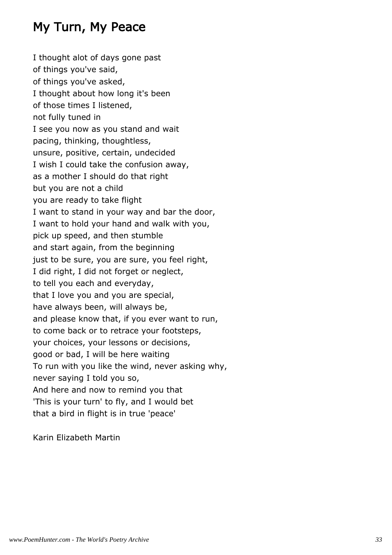## My Turn, My Peace

I thought alot of days gone past of things you've said, of things you've asked, I thought about how long it's been of those times I listened, not fully tuned in I see you now as you stand and wait pacing, thinking, thoughtless, unsure, positive, certain, undecided I wish I could take the confusion away, as a mother I should do that right but you are not a child you are ready to take flight I want to stand in your way and bar the door, I want to hold your hand and walk with you, pick up speed, and then stumble and start again, from the beginning just to be sure, you are sure, you feel right, I did right, I did not forget or neglect, to tell you each and everyday, that I love you and you are special, have always been, will always be, and please know that, if you ever want to run, to come back or to retrace your footsteps, your choices, your lessons or decisions, good or bad, I will be here waiting To run with you like the wind, never asking why, never saying I told you so, And here and now to remind you that 'This is your turn' to fly, and I would bet that a bird in flight is in true 'peace'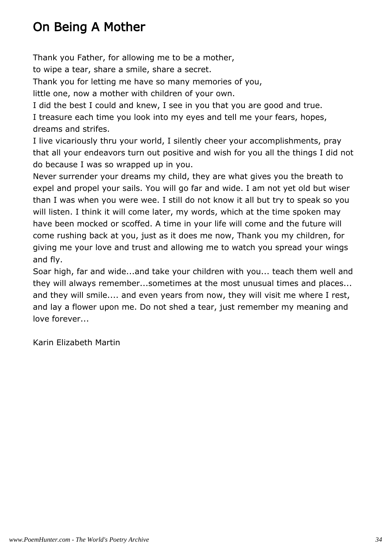## On Being A Mother

Thank you Father, for allowing me to be a mother,

to wipe a tear, share a smile, share a secret.

Thank you for letting me have so many memories of you,

little one, now a mother with children of your own.

I did the best I could and knew, I see in you that you are good and true. I treasure each time you look into my eyes and tell me your fears, hopes, dreams and strifes.

I live vicariously thru your world, I silently cheer your accomplishments, pray that all your endeavors turn out positive and wish for you all the things I did not do because I was so wrapped up in you.

Never surrender your dreams my child, they are what gives you the breath to expel and propel your sails. You will go far and wide. I am not yet old but wiser than I was when you were wee. I still do not know it all but try to speak so you will listen. I think it will come later, my words, which at the time spoken may have been mocked or scoffed. A time in your life will come and the future will come rushing back at you, just as it does me now, Thank you my children, for giving me your love and trust and allowing me to watch you spread your wings and fly.

Soar high, far and wide...and take your children with you... teach them well and they will always remember...sometimes at the most unusual times and places... and they will smile.... and even years from now, they will visit me where I rest, and lay a flower upon me. Do not shed a tear, just remember my meaning and love forever...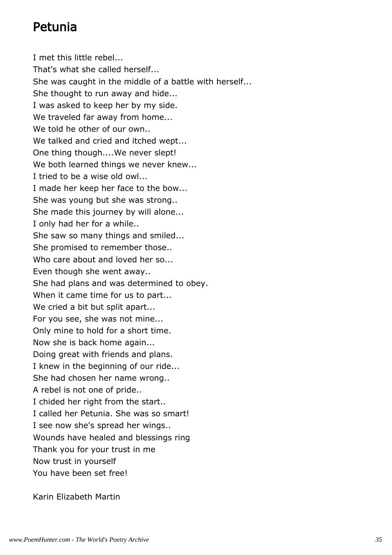## Petunia

I met this little rebel... That's what she called herself... She was caught in the middle of a battle with herself... She thought to run away and hide... I was asked to keep her by my side. We traveled far away from home... We told he other of our own.. We talked and cried and itched wept... One thing though....We never slept! We both learned things we never knew... I tried to be a wise old owl... I made her keep her face to the bow... She was young but she was strong.. She made this journey by will alone... I only had her for a while.. She saw so many things and smiled... She promised to remember those.. Who care about and loved her so... Even though she went away.. She had plans and was determined to obey. When it came time for us to part... We cried a bit but split apart... For you see, she was not mine... Only mine to hold for a short time. Now she is back home again... Doing great with friends and plans. I knew in the beginning of our ride... She had chosen her name wrong.. A rebel is not one of pride.. I chided her right from the start.. I called her Petunia. She was so smart! I see now she's spread her wings.. Wounds have healed and blessings ring Thank you for your trust in me Now trust in yourself You have been set free!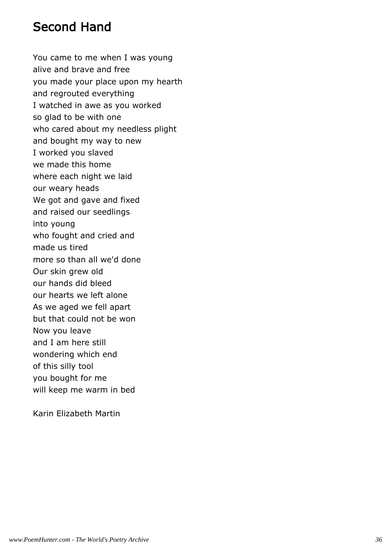## Second Hand

You came to me when I was young alive and brave and free you made your place upon my hearth and regrouted everything I watched in awe as you worked so glad to be with one who cared about my needless plight and bought my way to new I worked you slaved we made this home where each night we laid our weary heads We got and gave and fixed and raised our seedlings into young who fought and cried and made us tired more so than all we'd done Our skin grew old our hands did bleed our hearts we left alone As we aged we fell apart but that could not be won Now you leave and I am here still wondering which end of this silly tool you bought for me will keep me warm in bed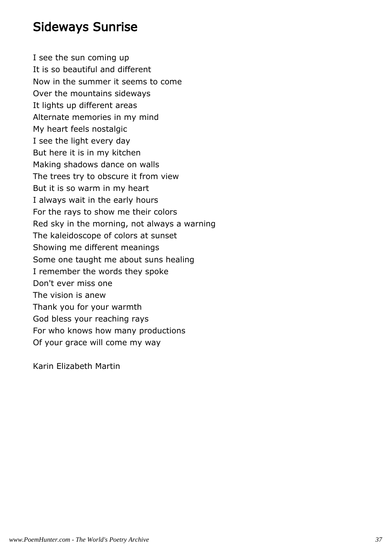#### Sideways Sunrise

I see the sun coming up It is so beautiful and different Now in the summer it seems to come Over the mountains sideways It lights up different areas Alternate memories in my mind My heart feels nostalgic I see the light every day But here it is in my kitchen Making shadows dance on walls The trees try to obscure it from view But it is so warm in my heart I always wait in the early hours For the rays to show me their colors Red sky in the morning, not always a warning The kaleidoscope of colors at sunset Showing me different meanings Some one taught me about suns healing I remember the words they spoke Don't ever miss one The vision is anew Thank you for your warmth God bless your reaching rays For who knows how many productions Of your grace will come my way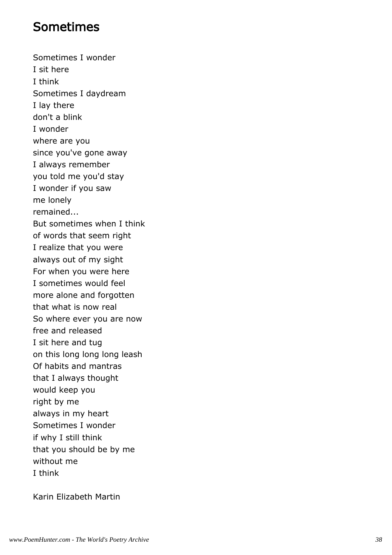#### Sometimes

Sometimes I wonder I sit here I think Sometimes I daydream I lay there don't a blink I wonder where are you since you've gone away I always remember you told me you'd stay I wonder if you saw me lonely remained... But sometimes when I think of words that seem right I realize that you were always out of my sight For when you were here I sometimes would feel more alone and forgotten that what is now real So where ever you are now free and released I sit here and tug on this long long long leash Of habits and mantras that I always thought would keep you right by me always in my heart Sometimes I wonder if why I still think that you should be by me without me I think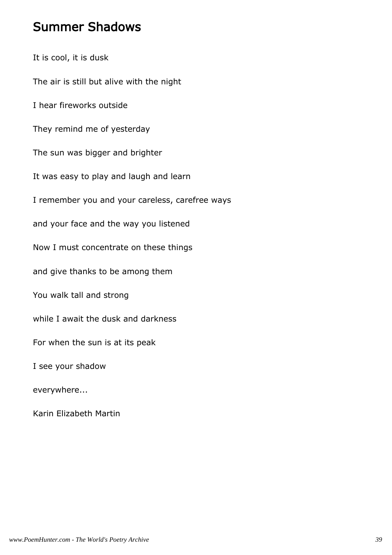#### Summer Shadows

It is cool, it is dusk The air is still but alive with the night I hear fireworks outside They remind me of yesterday The sun was bigger and brighter It was easy to play and laugh and learn I remember you and your careless, carefree ways and your face and the way you listened Now I must concentrate on these things and give thanks to be among them You walk tall and strong while I await the dusk and darkness For when the sun is at its peak I see your shadow everywhere...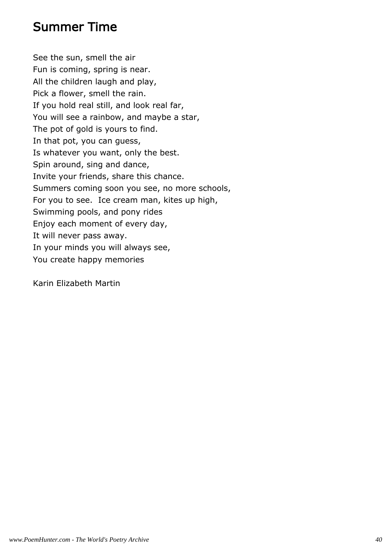#### Summer Time

See the sun, smell the air Fun is coming, spring is near. All the children laugh and play, Pick a flower, smell the rain. If you hold real still, and look real far, You will see a rainbow, and maybe a star, The pot of gold is yours to find. In that pot, you can guess, Is whatever you want, only the best. Spin around, sing and dance, Invite your friends, share this chance. Summers coming soon you see, no more schools, For you to see. Ice cream man, kites up high, Swimming pools, and pony rides Enjoy each moment of every day, It will never pass away. In your minds you will always see, You create happy memories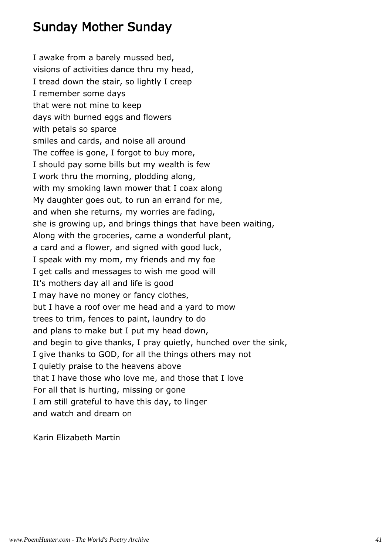## Sunday Mother Sunday

I awake from a barely mussed bed, visions of activities dance thru my head, I tread down the stair, so lightly I creep I remember some days that were not mine to keep days with burned eggs and flowers with petals so sparce smiles and cards, and noise all around The coffee is gone, I forgot to buy more, I should pay some bills but my wealth is few I work thru the morning, plodding along, with my smoking lawn mower that I coax along My daughter goes out, to run an errand for me, and when she returns, my worries are fading, she is growing up, and brings things that have been waiting, Along with the groceries, came a wonderful plant, a card and a flower, and signed with good luck, I speak with my mom, my friends and my foe I get calls and messages to wish me good will It's mothers day all and life is good I may have no money or fancy clothes, but I have a roof over me head and a yard to mow trees to trim, fences to paint, laundry to do and plans to make but I put my head down, and begin to give thanks, I pray quietly, hunched over the sink, I give thanks to GOD, for all the things others may not I quietly praise to the heavens above that I have those who love me, and those that I love For all that is hurting, missing or gone I am still grateful to have this day, to linger and watch and dream on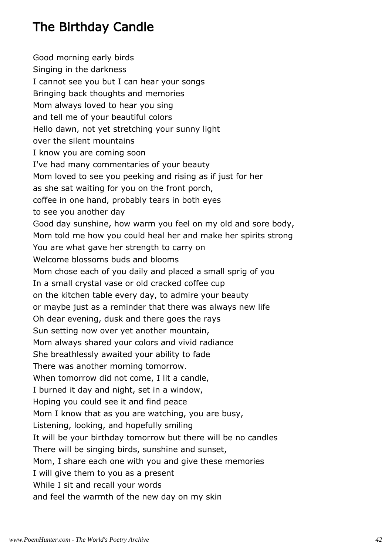## The Birthday Candle

Good morning early birds Singing in the darkness I cannot see you but I can hear your songs Bringing back thoughts and memories Mom always loved to hear you sing and tell me of your beautiful colors Hello dawn, not yet stretching your sunny light over the silent mountains I know you are coming soon I've had many commentaries of your beauty Mom loved to see you peeking and rising as if just for her as she sat waiting for you on the front porch, coffee in one hand, probably tears in both eyes to see you another day Good day sunshine, how warm you feel on my old and sore body, Mom told me how you could heal her and make her spirits strong You are what gave her strength to carry on Welcome blossoms buds and blooms Mom chose each of you daily and placed a small sprig of you In a small crystal vase or old cracked coffee cup on the kitchen table every day, to admire your beauty or maybe just as a reminder that there was always new life Oh dear evening, dusk and there goes the rays Sun setting now over yet another mountain, Mom always shared your colors and vivid radiance She breathlessly awaited your ability to fade There was another morning tomorrow. When tomorrow did not come, I lit a candle, I burned it day and night, set in a window, Hoping you could see it and find peace Mom I know that as you are watching, you are busy, Listening, looking, and hopefully smiling It will be your birthday tomorrow but there will be no candles There will be singing birds, sunshine and sunset, Mom, I share each one with you and give these memories I will give them to you as a present While I sit and recall your words and feel the warmth of the new day on my skin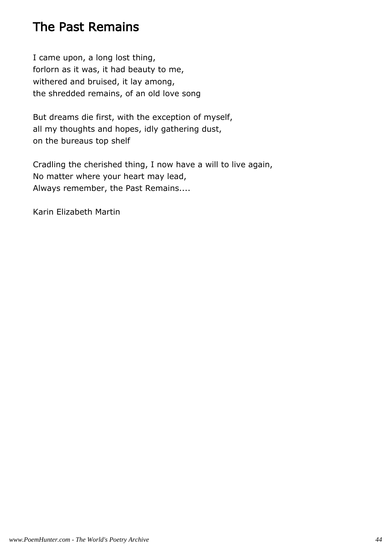## The Past Remains

I came upon, a long lost thing, forlorn as it was, it had beauty to me, withered and bruised, it lay among, the shredded remains, of an old love song

But dreams die first, with the exception of myself, all my thoughts and hopes, idly gathering dust, on the bureaus top shelf

Cradling the cherished thing, I now have a will to live again, No matter where your heart may lead, Always remember, the Past Remains....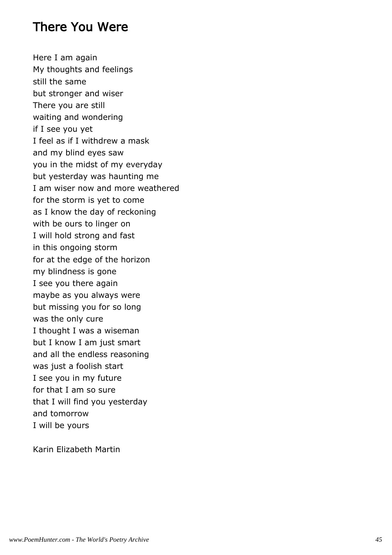#### There You Were

Here I am again My thoughts and feelings still the same but stronger and wiser There you are still waiting and wondering if I see you yet I feel as if I withdrew a mask and my blind eyes saw you in the midst of my everyday but yesterday was haunting me I am wiser now and more weathered for the storm is yet to come as I know the day of reckoning with be ours to linger on I will hold strong and fast in this ongoing storm for at the edge of the horizon my blindness is gone I see you there again maybe as you always were but missing you for so long was the only cure I thought I was a wiseman but I know I am just smart and all the endless reasoning was just a foolish start I see you in my future for that I am so sure that I will find you yesterday and tomorrow I will be yours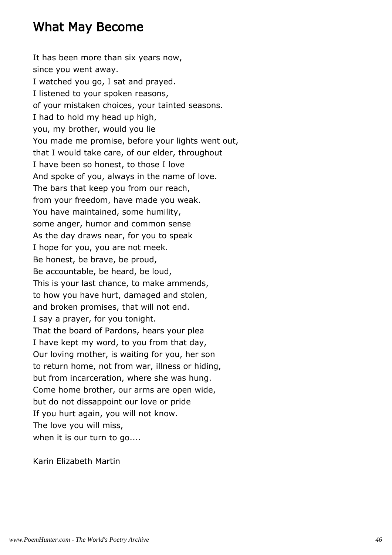#### What May Become

It has been more than six years now, since you went away. I watched you go, I sat and prayed. I listened to your spoken reasons, of your mistaken choices, your tainted seasons. I had to hold my head up high, you, my brother, would you lie You made me promise, before your lights went out, that I would take care, of our elder, throughout I have been so honest, to those I love And spoke of you, always in the name of love. The bars that keep you from our reach, from your freedom, have made you weak. You have maintained, some humility, some anger, humor and common sense As the day draws near, for you to speak I hope for you, you are not meek. Be honest, be brave, be proud, Be accountable, be heard, be loud, This is your last chance, to make ammends, to how you have hurt, damaged and stolen, and broken promises, that will not end. I say a prayer, for you tonight. That the board of Pardons, hears your plea I have kept my word, to you from that day, Our loving mother, is waiting for you, her son to return home, not from war, illness or hiding, but from incarceration, where she was hung. Come home brother, our arms are open wide, but do not dissappoint our love or pride If you hurt again, you will not know. The love you will miss, when it is our turn to go....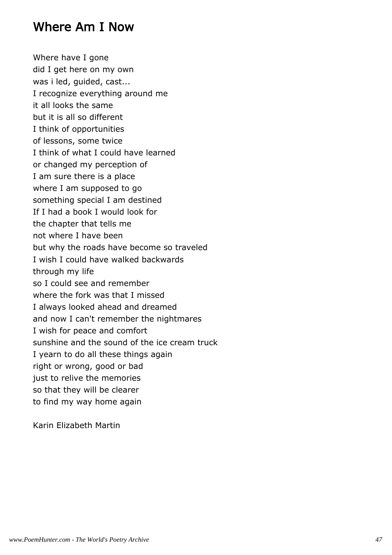#### Where Am I Now

Where have I gone did I get here on my own was i led, guided, cast... I recognize everything around me it all looks the same but it is all so different I think of opportunities of lessons, some twice I think of what I could have learned or changed my perception of I am sure there is a place where I am supposed to go something special I am destined If I had a book I would look for the chapter that tells me not where I have been but why the roads have become so traveled I wish I could have walked backwards through my life so I could see and remember where the fork was that I missed I always looked ahead and dreamed and now I can't remember the nightmares I wish for peace and comfort sunshine and the sound of the ice cream truck I yearn to do all these things again right or wrong, good or bad just to relive the memories so that they will be clearer to find my way home again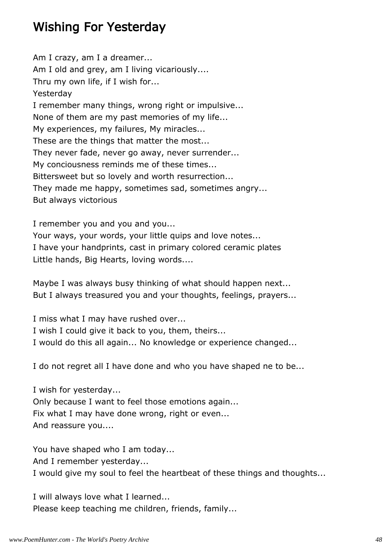#### Wishing For Yesterday

Am I crazy, am I a dreamer... Am I old and grey, am I living vicariously.... Thru my own life, if I wish for... Yesterday I remember many things, wrong right or impulsive... None of them are my past memories of my life... My experiences, my failures, My miracles... These are the things that matter the most... They never fade, never go away, never surrender... My conciousness reminds me of these times... Bittersweet but so lovely and worth resurrection... They made me happy, sometimes sad, sometimes angry... But always victorious

I remember you and you and you...

Your ways, your words, your little quips and love notes... I have your handprints, cast in primary colored ceramic plates Little hands, Big Hearts, loving words....

Maybe I was always busy thinking of what should happen next... But I always treasured you and your thoughts, feelings, prayers...

I miss what I may have rushed over...

I wish I could give it back to you, them, theirs...

I would do this all again... No knowledge or experience changed...

I do not regret all I have done and who you have shaped ne to be...

I wish for yesterday... Only because I want to feel those emotions again... Fix what I may have done wrong, right or even...

And reassure you....

You have shaped who I am today... And I remember yesterday... I would give my soul to feel the heartbeat of these things and thoughts...

I will always love what I learned... Please keep teaching me children, friends, family...